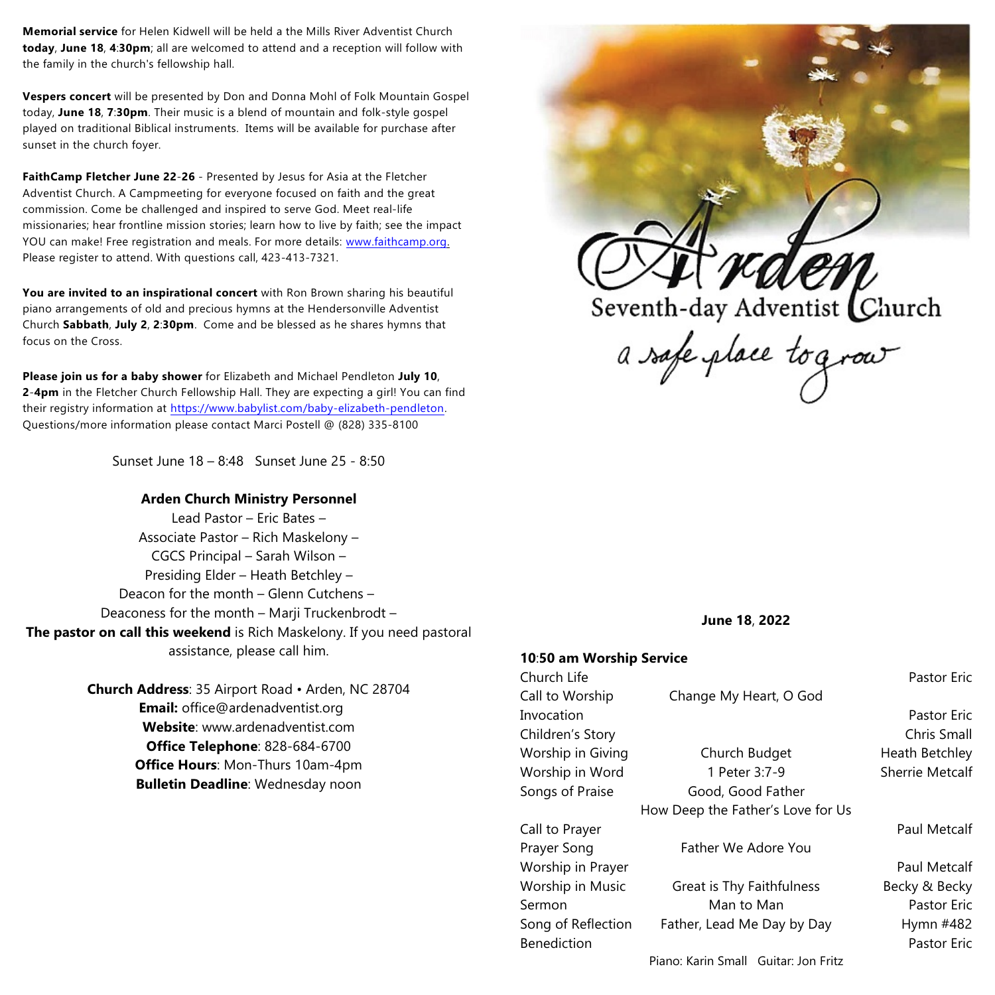**Memorial service** for Helen Kidwell will be held a the Mills River Adventist Church **today**, **June 18**, **4**:**30pm**; all are welcomed to attend and a reception will follow with the family in the church's fellowship hall.

**Vespers concert** will be presented by Don and Donna Mohl of Folk Mountain Gospel today, **June 18**, **7**:**30pm**. Their music is a blend of mountain and folk-style gospel played on traditional Biblical instruments. Items will be available for purchase after sunset in the church foyer.

**FaithCamp Fletcher June 22**-**26** - Presented by Jesus for Asia at the Fletcher Adventist Church. A Campmeeting for everyone focused on faith and the great commission. Come be challenged and inspired to serve God. Meet real-life missionaries; hear frontline mission stories; learn how to live by faith; see the impact YOU can make! Free registration and meals. For more details: [www.faithcamp.org](http://www.faithcamp.org). Please register to attend. With questions call, 423-413-7321.

**You are invited to an inspirational concert** with Ron Brown sharing his beautiful piano arrangements of old and precious hymns at the Hendersonville Adventist Church **Sabbath**, **July 2**, **2**:**30pm**. Come and be blessed as he shares hymns that focus on the Cross.

**Please join us for a baby shower** for Elizabeth and Michael Pendleton **July 10**, **2**-**4pm** in the Fletcher Church Fellowship Hall. They are expecting a girl! You can find their registry information at <https://www.babylist.com/baby-elizabeth-pendleton>. Questions/more information please contact Marci Postell @ (828) 335-8100

Sunset June 18 – 8:48 Sunset June 25 - 8:50

#### **Arden Church Ministry Personnel**

Lead Pastor – Eric Bates – Associate Pastor – Rich Maskelony – CGCS Principal – Sarah Wilson – Presiding Elder – Heath Betchley – Deacon for the month – Glenn Cutchens – Deaconess for the month – Marji Truckenbrodt – **The pastor on call this weekend** is Rich Maskelony. If you need pastoral assistance, please call him.

> **Church Address**: 35 Airport Road • Arden, NC 28704 **Email:** office@ardenadventist.org **Website**: www.ardenadventist.com **Office Telephone**: 828-684-6700 **Office Hours**: Mon-Thurs 10am-4pm **Bulletin Deadline**: Wednesday noon



Seventh-day Adventist Church<br>a safe place to grow

**June 18**, **2022**

#### **10**:**50 am Worship Service**

| Church Life        |                                   | <b>Pastor Eric</b>     |
|--------------------|-----------------------------------|------------------------|
| Call to Worship    | Change My Heart, O God            |                        |
| Invocation         |                                   | <b>Pastor Eric</b>     |
| Children's Story   |                                   | Chris Small            |
| Worship in Giving  | Church Budget                     | Heath Betchley         |
| Worship in Word    | 1 Peter 3:7-9                     | <b>Sherrie Metcalf</b> |
| Songs of Praise    | Good, Good Father                 |                        |
|                    | How Deep the Father's Love for Us |                        |
| Call to Prayer     |                                   | Paul Metcalf           |
| Prayer Song        | Father We Adore You               |                        |
| Worship in Prayer  |                                   | Paul Metcalf           |
| Worship in Music   | <b>Great is Thy Faithfulness</b>  | Becky & Becky          |
| Sermon             | Man to Man                        | <b>Pastor Eric</b>     |
| Song of Reflection | Father, Lead Me Day by Day        | Hymn #482              |
| <b>Benediction</b> |                                   | Pastor Eric            |
|                    |                                   |                        |

Piano: Karin Small Guitar: Jon Fritz